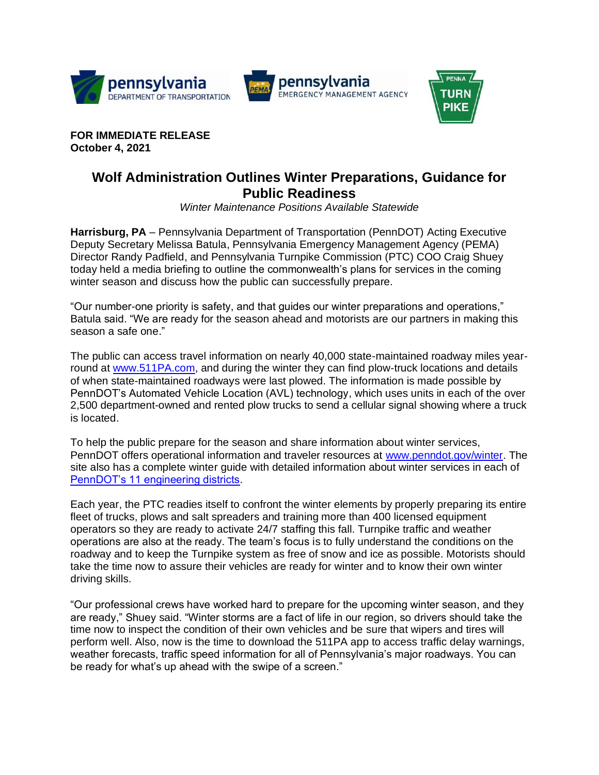





**FOR IMMEDIATE RELEASE October 4, 2021**

## **Wolf Administration Outlines Winter Preparations, Guidance for Public Readiness**

*Winter Maintenance Positions Available Statewide*

**Harrisburg, PA** – Pennsylvania Department of Transportation (PennDOT) Acting Executive Deputy Secretary Melissa Batula, Pennsylvania Emergency Management Agency (PEMA) Director Randy Padfield, and Pennsylvania Turnpike Commission (PTC) COO Craig Shuey today held a media briefing to outline the commonwealth's plans for services in the coming winter season and discuss how the public can successfully prepare.

"Our number-one priority is safety, and that guides our winter preparations and operations," Batula said. "We are ready for the season ahead and motorists are our partners in making this season a safe one."

The public can access travel information on nearly 40,000 state-maintained roadway miles yearround at [www.511PA.com,](http://www.511pa.com/) and during the winter they can find plow-truck locations and details of when state-maintained roadways were last plowed. The information is made possible by PennDOT's Automated Vehicle Location (AVL) technology, which uses units in each of the over 2,500 department-owned and rented plow trucks to send a cellular signal showing where a truck is located.

To help the public prepare for the season and share information about winter services, PennDOT offers operational information and traveler resources at [www.penndot.gov/winter.](http://www.penndot.gov/winter) The site also has a complete winter guide with detailed information about winter services in each of [PennDOT's 11 engineering districts.](https://www.penndot.gov/RegionalOffices/Pages/default.aspx)

Each year, the PTC readies itself to confront the winter elements by properly preparing its entire fleet of trucks, plows and salt spreaders and training more than 400 licensed equipment operators so they are ready to activate 24/7 staffing this fall. Turnpike traffic and weather operations are also at the ready. The team's focus is to fully understand the conditions on the roadway and to keep the Turnpike system as free of snow and ice as possible. Motorists should take the time now to assure their vehicles are ready for winter and to know their own winter driving skills.

"Our professional crews have worked hard to prepare for the upcoming winter season, and they are ready," Shuey said. "Winter storms are a fact of life in our region, so drivers should take the time now to inspect the condition of their own vehicles and be sure that wipers and tires will perform well. Also, now is the time to download the 511PA app to access traffic delay warnings, weather forecasts, traffic speed information for all of Pennsylvania's major roadways. You can be ready for what's up ahead with the swipe of a screen."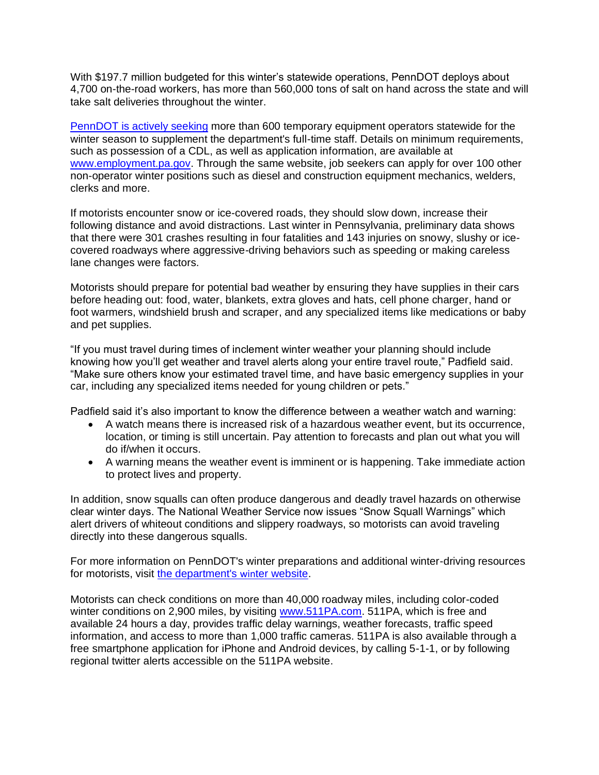With \$197.7 million budgeted for this winter's statewide operations, PennDOT deploys about 4,700 on-the-road workers, has more than 560,000 tons of salt on hand across the state and will take salt deliveries throughout the winter.

[PennDOT is actively seeking](https://www.governmentjobs.com/careers/pabureau/jobs/3131149/penndot-winter-jobs-cdl-op-garage-mechanic-welder-skilled-labor-dispatch?pagetype=jobOpportunitiesJobs) more than 600 temporary equipment operators statewide for the winter season to supplement the department's full-time staff. Details on minimum requirements, such as possession of a CDL, as well as application information, are available at [www.employment.pa.gov.](http://www.employment.pa.gov/) Through the same website, job seekers can apply for over 100 other non-operator winter positions such as diesel and construction equipment mechanics, welders, clerks and more.

If motorists encounter snow or ice-covered roads, they should slow down, increase their following distance and avoid distractions. Last winter in Pennsylvania, preliminary data shows that there were 301 crashes resulting in four fatalities and 143 injuries on snowy, slushy or icecovered roadways where aggressive-driving behaviors such as speeding or making careless lane changes were factors.

Motorists should prepare for potential bad weather by ensuring they have supplies in their cars before heading out: food, water, blankets, extra gloves and hats, cell phone charger, hand or foot warmers, windshield brush and scraper, and any specialized items like medications or baby and pet supplies.

"If you must travel during times of inclement winter weather your planning should include knowing how you'll get weather and travel alerts along your entire travel route," Padfield said. "Make sure others know your estimated travel time, and have basic emergency supplies in your car, including any specialized items needed for young children or pets."

Padfield said it's also important to know the difference between a weather watch and warning:

- A watch means there is increased risk of a hazardous weather event, but its occurrence, location, or timing is still uncertain. Pay attention to forecasts and plan out what you will do if/when it occurs.
- A warning means the weather event is imminent or is happening. Take immediate action to protect lives and property.

In addition, snow squalls can often produce dangerous and deadly travel hazards on otherwise clear winter days. The National Weather Service now issues "Snow Squall Warnings" which alert drivers of whiteout conditions and slippery roadways, so motorists can avoid traveling directly into these dangerous squalls.

For more information on PennDOT's winter preparations and additional winter-driving resources for motorists, visit [the department's](http://www.penndot.gov/winter) winter website.

Motorists can check conditions on more than 40,000 roadway miles, including color-coded winter conditions on 2,900 miles, by visiting [www.511PA.com.](http://www.511pa.com/) 511PA, which is free and available 24 hours a day, provides traffic delay warnings, weather forecasts, traffic speed information, and access to more than 1,000 traffic cameras. 511PA is also available through a free smartphone application for iPhone and Android devices, by calling 5-1-1, or by following regional twitter alerts accessible on the 511PA website.